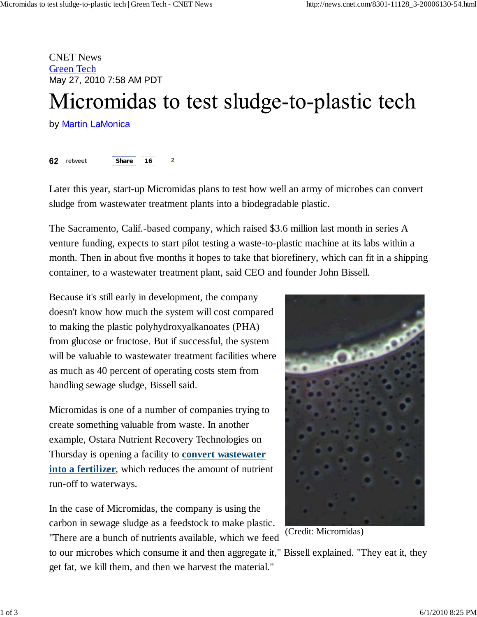CNET News Green Tech May 27, 2010 7:58 AM PDT

# Micromidas to test sludge-to-plastic tech

by **Martin LaMonica** 

62 retweet **Share 16 2**

Later this year, start-up Micromidas plans to test how well an army of microbes can convert sludge from wastewater treatment plants into a biodegradable plastic.

The Sacramento, Calif.-based company, which raised \$3.6 million last month in series A venture funding, expects to start pilot testing a waste-to-plastic machine at its labs within a month. Then in about five months it hopes to take that biorefinery, which can fit in a shipping container, to a wastewater treatment plant, said CEO and founder John Bissell.

Because it's still early in development, the company doesn't know how much the system will cost compared to making the plastic polyhydroxyalkanoates (PHA) from glucose or fructose. But if successful, the system will be valuable to wastewater treatment facilities where as much as 40 percent of operating costs stem from handling sewage sludge, Bissell said.

Micromidas is one of a number of companies trying to create something valuable from waste. In another example, Ostara Nutrient Recovery Technologies on Thursday is opening a facility to **convert wastewater into a fertilizer**, which reduces the amount of nutrient run-off to waterways.

In the case of Micromidas, the company is using the carbon in sewage sludge as a feedstock to make plastic. "There are a bunch of nutrients available, which we feed



(Credit: Micromidas)

to our microbes which consume it and then aggregate it," Bissell explained. "They eat it, they get fat, we kill them, and then we harvest the material."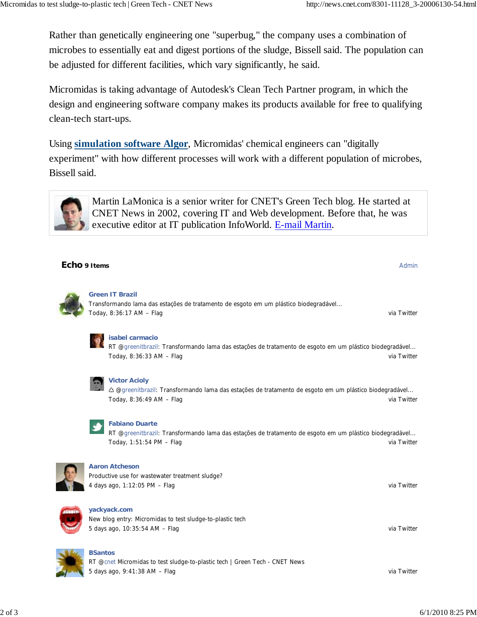Rather than genetically engineering one "superbug," the company uses a combination of microbes to essentially eat and digest portions of the sludge, Bissell said. The population can be adjusted for different facilities, which vary significantly, he said.

Micromidas is taking advantage of Autodesk's Clean Tech Partner program, in which the design and engineering software company makes its products available for free to qualifying clean-tech start-ups.

Using **simulation software Algor**, Micromidas' chemical engineers can "digitally experiment" with how different processes will work with a different population of microbes, Bissell said.



Martin LaMonica is a senior writer for CNET's Green Tech blog. He started at CNET News in 2002, covering IT and Web development. Before that, he was executive editor at IT publication InfoWorld. E-mail Martin.

## **Echo 9 Items** Admin



#### **Green IT Brazil**

Today, 8:36:17 AM – Flag via Twitter via Twitter via Twitter via Twitter via Twitter via Twitter via Twitter Transformando lama das estações de tratamento de esgoto em um plástico biodegradável...



#### **isabel carmacio**

Today, 8:36:33 AM – Flag via Twitter via Twitter via Twitter via Twitter via Twitter via Twitter via Twitter RT @greenitbrazil: Transformando lama das estações de tratamento de esgoto em um plástico biodegradável...



#### **Victor Acioly**

Today, 8:36:49 AM – Flag via Twitter via Twitter via Twitter via Twitter via Twitter ♺ @greenitbrazil: Transformando lama das estações de tratamento de esgoto em um plástico biodegradável...



#### **Fabiano Duarte**

Today, 1:51:54 PM – Flag via Twitter via Twitter via Twitter via Twitter via Twitter RT @greenitbrazil: Transformando lama das estações de tratamento de esgoto em um plástico biodegradável...



#### **Aaron Atcheson**

4 days ago, 1:12:05 PM – Flag via Twitter via Twitter via Twitter via Twitter via Twitter Productive use for wastewater treatment sludge?



# **yackyack.com**

5 days ago, 10:35:54 AM – Flag via Twitter New blog entry: Micromidas to test sludge-to-plastic tech



#### **BSantos**

5 days ago, 9:41:38 AM – Flag via Twitter and the United States of the United States of the United States of the United States of the United States of the United States of the United States of the United States of the Unit RT @cnet Micromidas to test sludge-to-plastic tech | Green Tech - CNET News